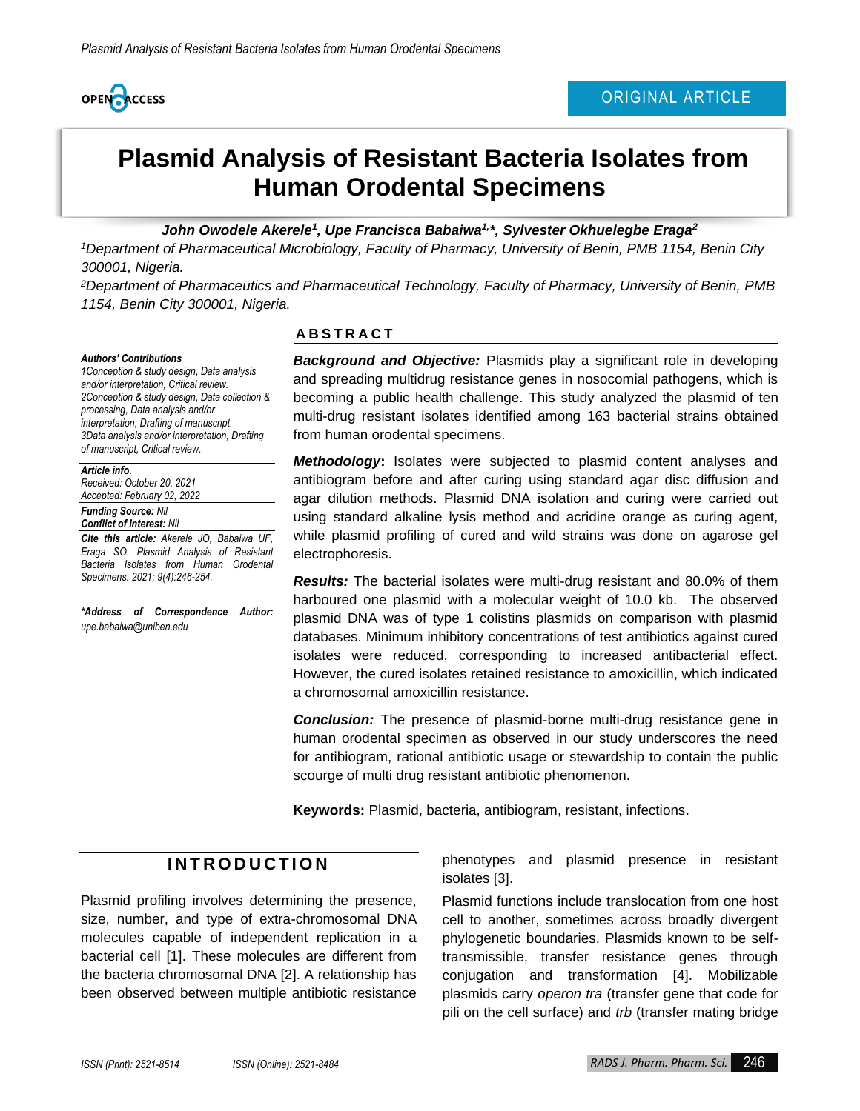

# **Plasmid Analysis of Resistant Bacteria Isolates from Human Orodental Specimens**

John Owodele Akerele<sup>1</sup>, Upe Francisca Babaiwa<sup>1,</sup><sup>\*</sup>, Sylvester Okhuelegbe Eraga<sup>2</sup>

*<sup>1</sup>Department of Pharmaceutical Microbiology, Faculty of Pharmacy, University of Benin, PMB 1154, Benin City 300001, Nigeria.*

*<sup>2</sup>Department of Pharmaceutics and Pharmaceutical Technology, Faculty of Pharmacy, University of Benin, PMB 1154, Benin City 300001, Nigeria.*

#### *Authors' Contributions*

*1Conception & study design, Data analysis and/or interpretation, Critical review. 2Conception & study design, Data collection & processing, Data analysis and/or interpretation, Drafting of manuscript. 3Data analysis and/or interpretation, Drafting of manuscript, Critical review.*

#### *Article info.*

*Received: October 20, 2021 Accepted: February 02, 2022*

#### *Funding Source: Nil*

*Conflict of Interest: Nil Cite this article: Akerele JO, Babaiwa UF,* 

*Eraga SO. Plasmid Analysis of Resistant Bacteria Isolates from Human Orodental Specimens. 2021; 9(4):246-254.*

*\*Address of Correspondence Author: upe.babaiwa@uniben.edu*

#### **A B S T R A C T**

*Background and Objective:* Plasmids play a significant role in developing and spreading multidrug resistance genes in nosocomial pathogens, which is becoming a public health challenge. This study analyzed the plasmid of ten multi-drug resistant isolates identified among 163 bacterial strains obtained from human orodental specimens.

*Methodology***:** Isolates were subjected to plasmid content analyses and antibiogram before and after curing using standard agar disc diffusion and agar dilution methods. Plasmid DNA isolation and curing were carried out using standard alkaline lysis method and acridine orange as curing agent, while plasmid profiling of cured and wild strains was done on agarose gel electrophoresis.

*Results:* The bacterial isolates were multi-drug resistant and 80.0% of them harboured one plasmid with a molecular weight of 10.0 kb. The observed plasmid DNA was of type 1 colistins plasmids on comparison with plasmid databases. Minimum inhibitory concentrations of test antibiotics against cured isolates were reduced, corresponding to increased antibacterial effect. However, the cured isolates retained resistance to amoxicillin, which indicated a chromosomal amoxicillin resistance.

*Conclusion:* The presence of plasmid-borne multi-drug resistance gene in human orodental specimen as observed in our study underscores the need for antibiogram, rational antibiotic usage or stewardship to contain the public scourge of multi drug resistant antibiotic phenomenon.

**Keywords:** Plasmid, bacteria, antibiogram, resistant, infections.

## **I N T R O D U C T I O N**

Plasmid profiling involves determining the presence, size, number, and type of extra-chromosomal DNA molecules capable of independent replication in a bacterial cell [1]. These molecules are different from the bacteria chromosomal DNA [2]. A relationship has been observed between multiple antibiotic resistance

phenotypes and plasmid presence in resistant isolates [3].

Plasmid functions include translocation from one host cell to another, sometimes across broadly divergent phylogenetic boundaries. Plasmids known to be selftransmissible, transfer resistance genes through conjugation and transformation [4]. Mobilizable plasmids carry *operon tra* (transfer gene that code for pili on the cell surface) and *trb* (transfer mating bridge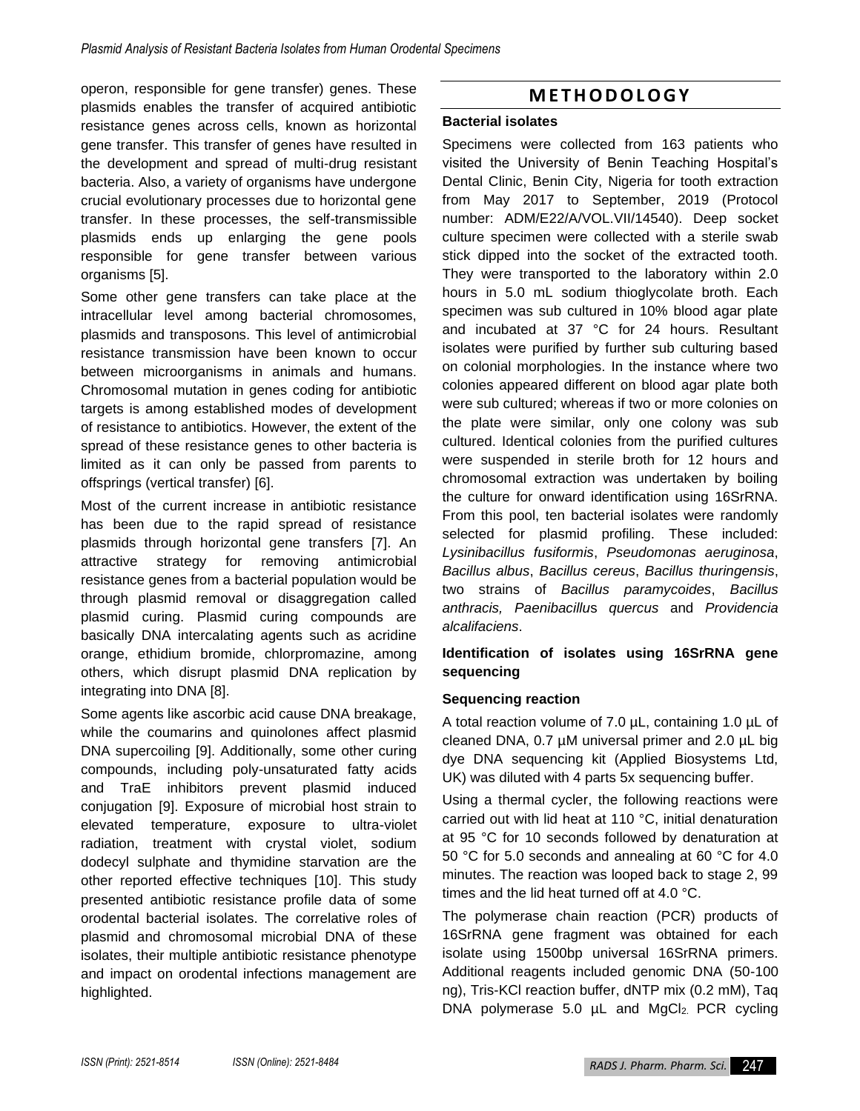operon, responsible for gene transfer) genes. These plasmids enables the transfer of acquired antibiotic resistance genes across cells, known as horizontal gene transfer. This transfer of genes have resulted in the development and spread of multi-drug resistant bacteria. Also, a variety of organisms have undergone crucial evolutionary processes due to horizontal gene transfer. In these processes, the self-transmissible plasmids ends up enlarging the gene pools responsible for gene transfer between various organisms [5].

Some other gene transfers can take place at the intracellular level among bacterial chromosomes, plasmids and transposons. This level of antimicrobial resistance transmission have been known to occur between microorganisms in animals and humans. Chromosomal mutation in genes coding for antibiotic targets is among established modes of development of resistance to antibiotics. However, the extent of the spread of these resistance genes to other bacteria is limited as it can only be passed from parents to offsprings (vertical transfer) [6].

Most of the current increase in antibiotic resistance has been due to the rapid spread of resistance plasmids through horizontal gene transfers [7]. An attractive strategy for removing antimicrobial resistance genes from a bacterial population would be through plasmid removal or disaggregation called plasmid curing. Plasmid curing compounds are basically DNA intercalating agents such as acridine orange, ethidium bromide, chlorpromazine, among others, which disrupt plasmid DNA replication by integrating into DNA [8].

Some agents like ascorbic acid cause DNA breakage, while the coumarins and quinolones affect plasmid DNA supercoiling [9]. Additionally, some other curing compounds, including poly-unsaturated fatty acids and TraE inhibitors prevent plasmid induced conjugation [9]. Exposure of microbial host strain to elevated temperature, exposure to ultra-violet radiation, treatment with crystal violet, sodium dodecyl sulphate and thymidine starvation are the other reported effective techniques [10]. This study presented antibiotic resistance profile data of some orodental bacterial isolates. The correlative roles of plasmid and chromosomal microbial DNA of these isolates, their multiple antibiotic resistance phenotype and impact on orodental infections management are highlighted.

# **M E T H O D O L O G Y**

#### **Bacterial isolates**

Specimens were collected from 163 patients who visited the University of Benin Teaching Hospital's Dental Clinic, Benin City, Nigeria for tooth extraction from May 2017 to September, 2019 (Protocol number: ADM/E22/A/VOL.VII/14540). Deep socket culture specimen were collected with a sterile swab stick dipped into the socket of the extracted tooth. They were transported to the laboratory within 2.0 hours in 5.0 mL sodium thioglycolate broth. Each specimen was sub cultured in 10% blood agar plate and incubated at 37 °C for 24 hours. Resultant isolates were purified by further sub culturing based on colonial morphologies. In the instance where two colonies appeared different on blood agar plate both were sub cultured; whereas if two or more colonies on the plate were similar, only one colony was sub cultured. Identical colonies from the purified cultures were suspended in sterile broth for 12 hours and chromosomal extraction was undertaken by boiling the culture for onward identification using 16SrRNA. From this pool, ten bacterial isolates were randomly selected for plasmid profiling. These included: *Lysinibacillus fusiformis*, *Pseudomonas aeruginosa*, *Bacillus albus*, *Bacillus cereus*, *Bacillus thuringensis*, two strains of *Bacillus paramycoides*, *Bacillus anthracis, Paenibacillu*s *quercus* and *Providencia alcalifaciens*.

#### **Identification of isolates using 16SrRNA gene sequencing**

### **Sequencing reaction**

A total reaction volume of 7.0 µL, containing 1.0 µL of cleaned DNA, 0.7 µM universal primer and 2.0 µL big dye DNA sequencing kit (Applied Biosystems Ltd, UK) was diluted with 4 parts 5x sequencing buffer.

Using a thermal cycler, the following reactions were carried out with lid heat at 110 °C, initial denaturation at 95 °C for 10 seconds followed by denaturation at 50 °C for 5.0 seconds and annealing at 60 °C for 4.0 minutes. The reaction was looped back to stage 2, 99 times and the lid heat turned off at 4.0 °C.

The polymerase chain reaction (PCR) products of 16SrRNA gene fragment was obtained for each isolate using 1500bp universal 16SrRNA primers. Additional reagents included genomic DNA (50-100 ng), Tris-KCl reaction buffer, dNTP mix (0.2 mM), Taq DNA polymerase 5.0 µL and MgCl<sub>2</sub>. PCR cycling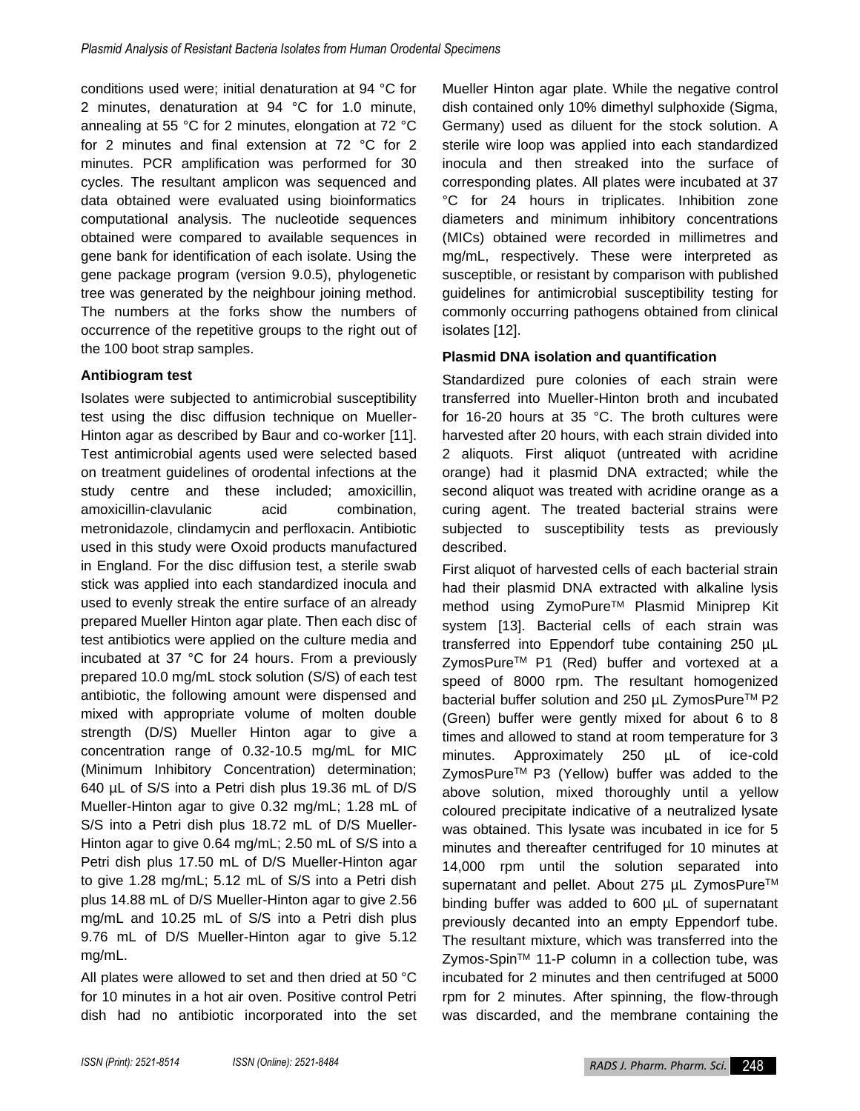conditions used were; initial denaturation at 94 °C for 2 minutes, denaturation at 94 °C for 1.0 minute, annealing at 55 °C for 2 minutes, elongation at 72 °C for 2 minutes and final extension at 72 °C for 2 minutes. PCR amplification was performed for 30 cycles. The resultant amplicon was sequenced and data obtained were evaluated using bioinformatics computational analysis. The nucleotide sequences obtained were compared to available sequences in gene bank for identification of each isolate. Using the gene package program (version 9.0.5), phylogenetic tree was generated by the neighbour joining method. The numbers at the forks show the numbers of occurrence of the repetitive groups to the right out of the 100 boot strap samples.

### **Antibiogram test**

Isolates were subjected to antimicrobial susceptibility test using the disc diffusion technique on Mueller-Hinton agar as described by Baur and co-worker [11]. Test antimicrobial agents used were selected based on treatment guidelines of orodental infections at the study centre and these included; amoxicillin, amoxicillin-clavulanic acid combination, metronidazole, clindamycin and perfloxacin. Antibiotic used in this study were Oxoid products manufactured in England. For the disc diffusion test, a sterile swab stick was applied into each standardized inocula and used to evenly streak the entire surface of an already prepared Mueller Hinton agar plate. Then each disc of test antibiotics were applied on the culture media and incubated at 37 °C for 24 hours. From a previously prepared 10.0 mg/mL stock solution (S/S) of each test antibiotic, the following amount were dispensed and mixed with appropriate volume of molten double strength (D/S) Mueller Hinton agar to give a concentration range of 0.32-10.5 mg/mL for MIC (Minimum Inhibitory Concentration) determination; 640 µL of S/S into a Petri dish plus 19.36 mL of D/S Mueller-Hinton agar to give 0.32 mg/mL; 1.28 mL of S/S into a Petri dish plus 18.72 mL of D/S Mueller-Hinton agar to give 0.64 mg/mL; 2.50 mL of S/S into a Petri dish plus 17.50 mL of D/S Mueller-Hinton agar to give 1.28 mg/mL; 5.12 mL of S/S into a Petri dish plus 14.88 mL of D/S Mueller-Hinton agar to give 2.56 mg/mL and 10.25 mL of S/S into a Petri dish plus 9.76 mL of D/S Mueller-Hinton agar to give 5.12 mg/mL.

All plates were allowed to set and then dried at 50 °C for 10 minutes in a hot air oven. Positive control Petri dish had no antibiotic incorporated into the set Mueller Hinton agar plate. While the negative control dish contained only 10% dimethyl sulphoxide (Sigma, Germany) used as diluent for the stock solution. A sterile wire loop was applied into each standardized inocula and then streaked into the surface of corresponding plates. All plates were incubated at 37 °C for 24 hours in triplicates. Inhibition zone diameters and minimum inhibitory concentrations (MICs) obtained were recorded in millimetres and mg/mL, respectively. These were interpreted as susceptible, or resistant by comparison with published guidelines for antimicrobial susceptibility testing for commonly occurring pathogens obtained from clinical isolates [12].

### **Plasmid DNA isolation and quantification**

Standardized pure colonies of each strain were transferred into Mueller-Hinton broth and incubated for 16-20 hours at 35 °C. The broth cultures were harvested after 20 hours, with each strain divided into 2 aliquots. First aliquot (untreated with acridine orange) had it plasmid DNA extracted; while the second aliquot was treated with acridine orange as a curing agent. The treated bacterial strains were subjected to susceptibility tests as previously described.

First aliquot of harvested cells of each bacterial strain had their plasmid DNA extracted with alkaline lysis method using ZymoPure™ Plasmid Miniprep Kit system [13]. Bacterial cells of each strain was transferred into Eppendorf tube containing 250 µL ZymosPure<sup>™</sup> P1 (Red) buffer and vortexed at a speed of 8000 rpm. The resultant homogenized bacterial buffer solution and 250 µL ZymosPure™ P2 (Green) buffer were gently mixed for about 6 to 8 times and allowed to stand at room temperature for 3 minutes. Approximately 250 µL of ice-cold ZymosPure™ P3 (Yellow) buffer was added to the above solution, mixed thoroughly until a yellow coloured precipitate indicative of a neutralized lysate was obtained. This lysate was incubated in ice for 5 minutes and thereafter centrifuged for 10 minutes at 14,000 rpm until the solution separated into supernatant and pellet. About 275 µL ZymosPure™ binding buffer was added to 600 µL of supernatant previously decanted into an empty Eppendorf tube. The resultant mixture, which was transferred into the Zymos-Spin™ 11-P column in a collection tube, was incubated for 2 minutes and then centrifuged at 5000 rpm for 2 minutes. After spinning, the flow-through was discarded, and the membrane containing the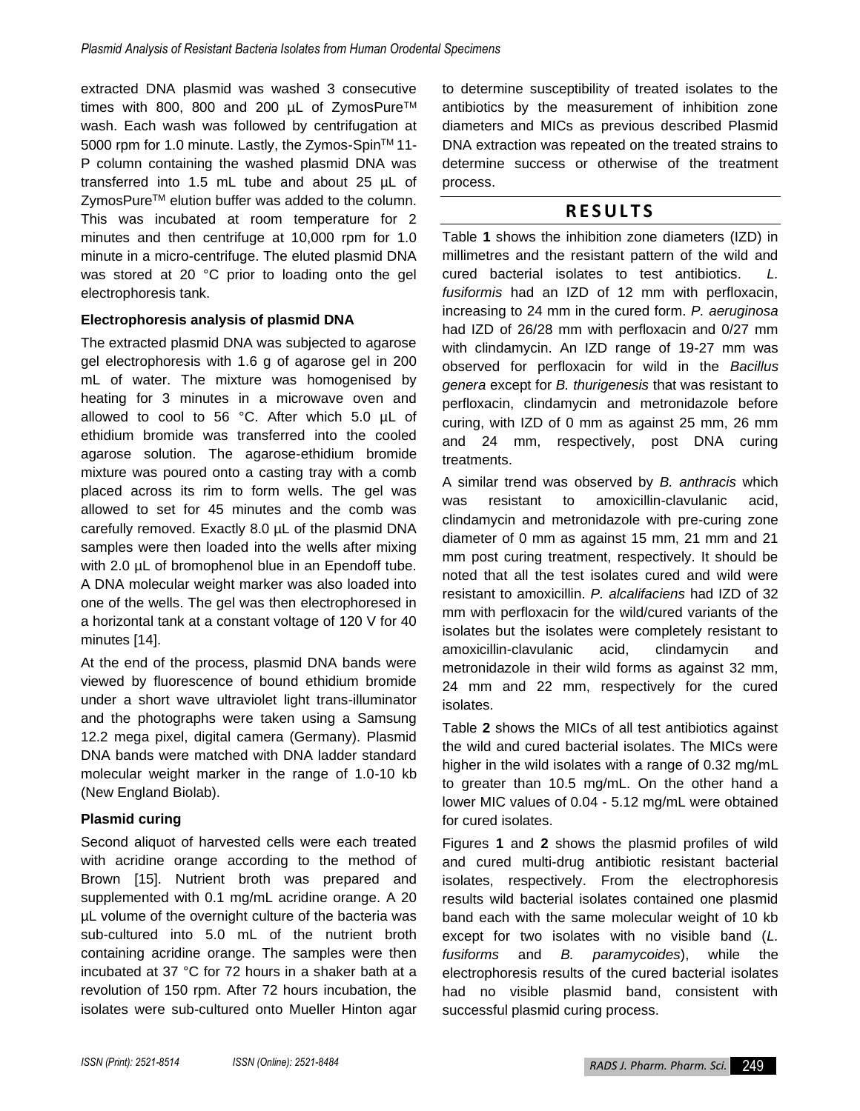extracted DNA plasmid was washed 3 consecutive times with 800, 800 and 200 µL of ZymosPure™ wash. Each wash was followed by centrifugation at 5000 rpm for 1.0 minute. Lastly, the Zymos-Spin™ 11-P column containing the washed plasmid DNA was transferred into 1.5 mL tube and about 25 µL of ZymosPure™ elution buffer was added to the column. This was incubated at room temperature for 2 minutes and then centrifuge at 10,000 rpm for 1.0 minute in a micro-centrifuge. The eluted plasmid DNA was stored at 20 °C prior to loading onto the gel electrophoresis tank.

#### **Electrophoresis analysis of plasmid DNA**

The extracted plasmid DNA was subjected to agarose gel electrophoresis with 1.6 g of agarose gel in 200 mL of water. The mixture was homogenised by heating for 3 minutes in a microwave oven and allowed to cool to 56 °C. After which 5.0 µL of ethidium bromide was transferred into the cooled agarose solution. The agarose-ethidium bromide mixture was poured onto a casting tray with a comb placed across its rim to form wells. The gel was allowed to set for 45 minutes and the comb was carefully removed. Exactly 8.0 µL of the plasmid DNA samples were then loaded into the wells after mixing with 2.0  $\mu$ L of bromophenol blue in an Ependoff tube. A DNA molecular weight marker was also loaded into one of the wells. The gel was then electrophoresed in a horizontal tank at a constant voltage of 120 V for 40 minutes [14].

At the end of the process, plasmid DNA bands were viewed by fluorescence of bound ethidium bromide under a short wave ultraviolet light trans-illuminator and the photographs were taken using a Samsung 12.2 mega pixel, digital camera (Germany). Plasmid DNA bands were matched with DNA ladder standard molecular weight marker in the range of 1.0-10 kb (New England Biolab).

### **Plasmid curing**

Second aliquot of harvested cells were each treated with acridine orange according to the method of Brown [15]. Nutrient broth was prepared and supplemented with 0.1 mg/mL acridine orange. A 20 µL volume of the overnight culture of the bacteria was sub-cultured into 5.0 mL of the nutrient broth containing acridine orange. The samples were then incubated at 37 °C for 72 hours in a shaker bath at a revolution of 150 rpm. After 72 hours incubation, the isolates were sub-cultured onto Mueller Hinton agar to determine susceptibility of treated isolates to the antibiotics by the measurement of inhibition zone diameters and MICs as previous described Plasmid DNA extraction was repeated on the treated strains to determine success or otherwise of the treatment process.

# **R E S U L T S**

Table **1** shows the inhibition zone diameters (IZD) in millimetres and the resistant pattern of the wild and cured bacterial isolates to test antibiotics. *L. fusiformis* had an IZD of 12 mm with perfloxacin, increasing to 24 mm in the cured form. *P. aeruginosa* had IZD of 26/28 mm with perfloxacin and 0/27 mm with clindamycin. An IZD range of 19-27 mm was observed for perfloxacin for wild in the *Bacillus genera* except for *B. thurigenesis* that was resistant to perfloxacin, clindamycin and metronidazole before curing, with IZD of 0 mm as against 25 mm, 26 mm and 24 mm, respectively, post DNA curing treatments.

A similar trend was observed by *B. anthracis* which was resistant to amoxicillin-clavulanic acid, clindamycin and metronidazole with pre-curing zone diameter of 0 mm as against 15 mm, 21 mm and 21 mm post curing treatment, respectively. It should be noted that all the test isolates cured and wild were resistant to amoxicillin. *P. alcalifaciens* had IZD of 32 mm with perfloxacin for the wild/cured variants of the isolates but the isolates were completely resistant to amoxicillin-clavulanic acid, clindamycin and metronidazole in their wild forms as against 32 mm, 24 mm and 22 mm, respectively for the cured isolates.

Table **2** shows the MICs of all test antibiotics against the wild and cured bacterial isolates. The MICs were higher in the wild isolates with a range of 0.32 mg/mL to greater than 10.5 mg/mL. On the other hand a lower MIC values of 0.04 - 5.12 mg/mL were obtained for cured isolates.

Figures **1** and **2** shows the plasmid profiles of wild and cured multi-drug antibiotic resistant bacterial isolates, respectively. From the electrophoresis results wild bacterial isolates contained one plasmid band each with the same molecular weight of 10 kb except for two isolates with no visible band (*L. fusiforms* and *B. paramycoides*), while the electrophoresis results of the cured bacterial isolates had no visible plasmid band, consistent with successful plasmid curing process.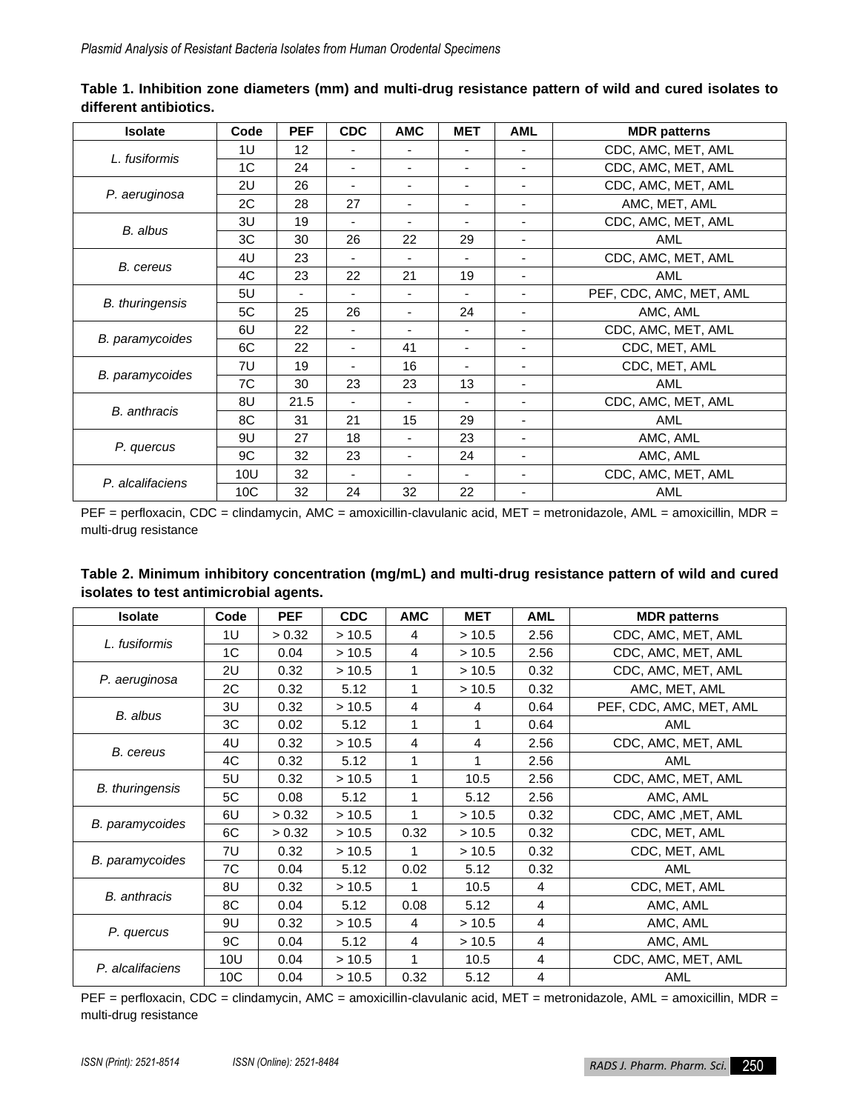| <b>Isolate</b>         | Code            | <b>PEF</b> | <b>CDC</b>               | <b>AMC</b>               | <b>MET</b>               | <b>AML</b>               | <b>MDR</b> patterns     |
|------------------------|-----------------|------------|--------------------------|--------------------------|--------------------------|--------------------------|-------------------------|
| L. fusiformis          | 1U              | 12         | $\blacksquare$           |                          | ٠                        | ٠                        | CDC, AMC, MET, AML      |
|                        | 1C              | 24         | ٠                        | -                        | -                        | ٠                        | CDC, AMC, MET, AML      |
| P. aeruginosa          | 2U              | 26         | ۰                        | $\blacksquare$           | ۳                        | ٠                        | CDC, AMC, MET, AML      |
|                        | 2C              | 28         | 27                       | $\overline{\phantom{a}}$ | $\overline{\phantom{a}}$ | $\overline{\phantom{a}}$ | AMC, MET, AML           |
| B. albus               | 3U              | 19         |                          |                          |                          | $\blacksquare$           | CDC, AMC, MET, AML      |
|                        | 3C              | 30         | 26                       | 22                       | 29                       | ٠                        | AML                     |
| <b>B.</b> cereus       | 4U              | 23         |                          |                          |                          | ٠                        | CDC, AMC, MET, AML      |
|                        | 4C              | 23         | 22                       | 21                       | 19                       | ٠                        | AML                     |
| <b>B.</b> thuringensis | 5U              |            | ۰                        |                          | ٠                        | ٠                        | PEF, CDC, AMC, MET, AML |
|                        | 5C              | 25         | 26                       | $\overline{\phantom{a}}$ | 24                       | $\overline{\phantom{a}}$ | AMC, AML                |
| <b>B.</b> paramycoides | 6U              | 22         | $\overline{\phantom{a}}$ |                          | ٠                        | ٠                        | CDC, AMC, MET, AML      |
|                        | 6C              | 22         | $\overline{\phantom{a}}$ | 41                       | $\overline{\phantom{a}}$ | ٠                        | CDC, MET, AML           |
| B. paramycoides        | 7U              | 19         | ٠                        | 16                       | ٠                        | ٠                        | CDC, MET, AML           |
|                        | 7C              | 30         | 23                       | 23                       | 13                       | $\overline{\phantom{a}}$ | AML                     |
| <b>B.</b> anthracis    | 8U              | 21.5       |                          |                          |                          |                          | CDC, AMC, MET, AML      |
|                        | 8C              | 31         | 21                       | 15                       | 29                       | ٠                        | AML                     |
| P. quercus             | 9U              | 27         | 18                       | ٠                        | 23                       | ٠                        | AMC, AML                |
|                        | 9C              | 32         | 23                       | ٠                        | 24                       | $\blacksquare$           | AMC, AML                |
| P. alcalifaciens       | 10U             | 32         | $\blacksquare$           |                          |                          | ٠                        | CDC, AMC, MET, AML      |
|                        | 10 <sub>C</sub> | 32         | 24                       | 32                       | 22                       | ٠                        | AML                     |

**Table 1. Inhibition zone diameters (mm) and multi-drug resistance pattern of wild and cured isolates to different antibiotics.**

PEF = perfloxacin, CDC = clindamycin, AMC = amoxicillin-clavulanic acid, MET = metronidazole, AML = amoxicillin, MDR = multi-drug resistance

| Table 2. Minimum inhibitory concentration (mg/mL) and multi-drug resistance pattern of wild and cured |  |
|-------------------------------------------------------------------------------------------------------|--|
| isolates to test antimicrobial agents.                                                                |  |

| <b>Isolate</b>         | Code           | <b>PEF</b> | <b>CDC</b> | <b>AMC</b> | <b>MET</b> | <b>AML</b> | <b>MDR</b> patterns     |
|------------------------|----------------|------------|------------|------------|------------|------------|-------------------------|
| L. fusiformis          | 1U             | > 0.32     | >10.5      | 4          | >10.5      | 2.56       | CDC, AMC, MET, AML      |
|                        | 1 <sup>C</sup> | 0.04       | >10.5      | 4          | >10.5      | 2.56       | CDC, AMC, MET, AML      |
| P. aeruginosa          | 2U             | 0.32       | >10.5      | 1          | >10.5      | 0.32       | CDC, AMC, MET, AML      |
|                        | 2C             | 0.32       | 5.12       | 1          | >10.5      | 0.32       | AMC, MET, AML           |
| B. albus               | 3U             | 0.32       | >10.5      | 4          | 4          | 0.64       | PEF, CDC, AMC, MET, AML |
|                        | 3C             | 0.02       | 5.12       |            | 1          | 0.64       | AML                     |
| B. cereus              | 4U             | 0.32       | >10.5      | 4          | 4          | 2.56       | CDC, AMC, MET, AML      |
|                        | 4C             | 0.32       | 5.12       | 1          | 1          | 2.56       | AML                     |
| <b>B.</b> thuringensis | 5U             | 0.32       | > 10.5     | 1          | 10.5       | 2.56       | CDC, AMC, MET, AML      |
|                        | 5C             | 0.08       | 5.12       | 1          | 5.12       | 2.56       | AMC, AML                |
| <b>B.</b> paramycoides | 6U             | > 0.32     | >10.5      |            | >10.5      | 0.32       | CDC, AMC, MET, AML      |
|                        | 6C             | > 0.32     | >10.5      | 0.32       | > 10.5     | 0.32       | CDC, MET, AML           |
| <b>B.</b> paramycoides | 7U             | 0.32       | >10.5      | 1          | >10.5      | 0.32       | CDC, MET, AML           |
|                        | 7C             | 0.04       | 5.12       | 0.02       | 5.12       | 0.32       | AML                     |
| <b>B.</b> anthracis    | 8U             | 0.32       | >10.5      | 1          | 10.5       | 4          | CDC, MET, AML           |
|                        | 8C             | 0.04       | 5.12       | 0.08       | 5.12       | 4          | AMC, AML                |
| P. quercus             | 9U             | 0.32       | >10.5      | 4          | >10.5      | 4          | AMC, AML                |
|                        | 9C             | 0.04       | 5.12       | 4          | >10.5      | 4          | AMC, AML                |
| P. alcalifaciens       | 10U            | 0.04       | >10.5      |            | 10.5       | 4          | CDC, AMC, MET, AML      |
|                        | 10C            | 0.04       | >10.5      | 0.32       | 5.12       | 4          | AML                     |

PEF = perfloxacin, CDC = clindamycin, AMC = amoxicillin-clavulanic acid, MET = metronidazole, AML = amoxicillin, MDR = multi-drug resistance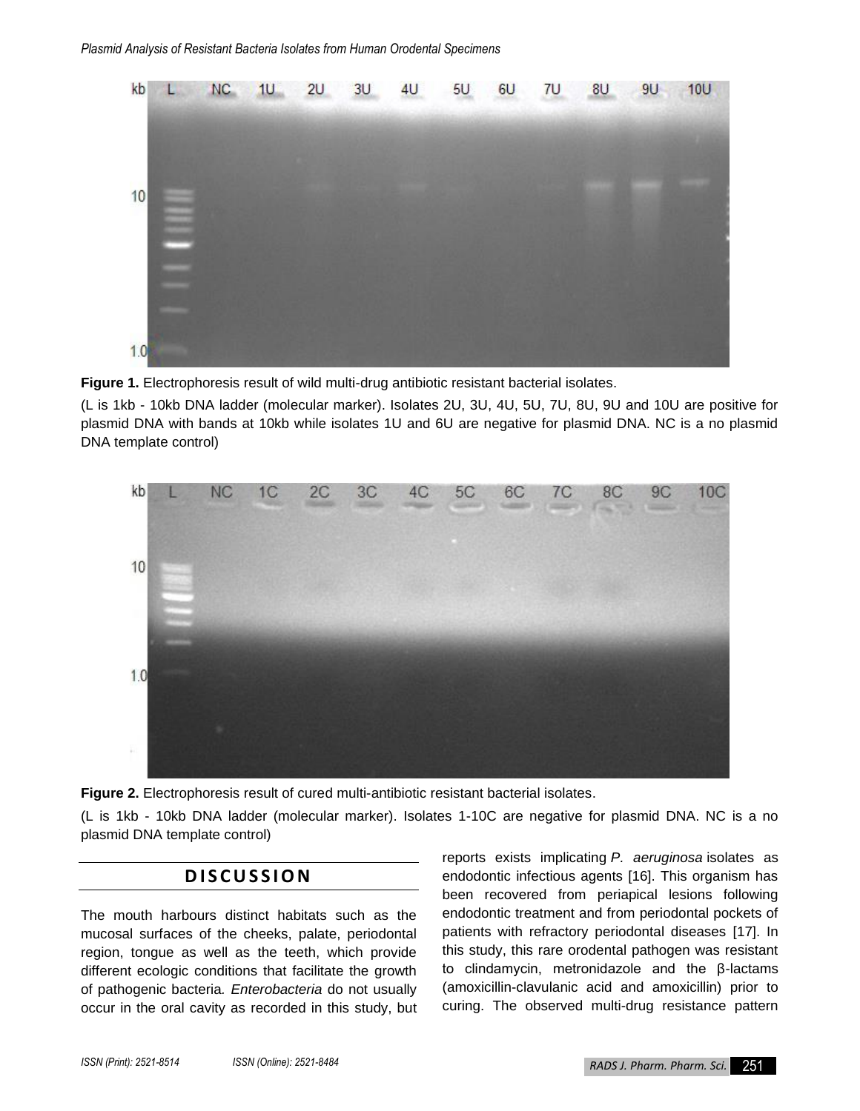

**Figure 1.** Electrophoresis result of wild multi-drug antibiotic resistant bacterial isolates.

(L is 1kb - 10kb DNA ladder (molecular marker). Isolates 2U, 3U, 4U, 5U, 7U, 8U, 9U and 10U are positive for plasmid DNA with bands at 10kb while isolates 1U and 6U are negative for plasmid DNA. NC is a no plasmid DNA template control)



**Figure 2.** Electrophoresis result of cured multi-antibiotic resistant bacterial isolates.

(L is 1kb - 10kb DNA ladder (molecular marker). Isolates 1-10C are negative for plasmid DNA. NC is a no plasmid DNA template control)

### **D I S C U S S I O N**

The mouth harbours distinct habitats such as the mucosal surfaces of the cheeks, palate, periodontal region, tongue as well as the teeth, which provide different ecologic conditions that facilitate the growth of pathogenic bacteria*. Enterobacteria* do not usually occur in the oral cavity as recorded in this study, but reports exists implicating *P. aeruginosa* isolates as endodontic infectious agents [16]. This organism has been recovered from periapical lesions following endodontic treatment and from periodontal pockets of patients with refractory periodontal diseases [17]. In this study, this rare orodental pathogen was resistant to clindamycin, metronidazole and the β-lactams (amoxicillin-clavulanic acid and amoxicillin) prior to curing. The observed multi-drug resistance pattern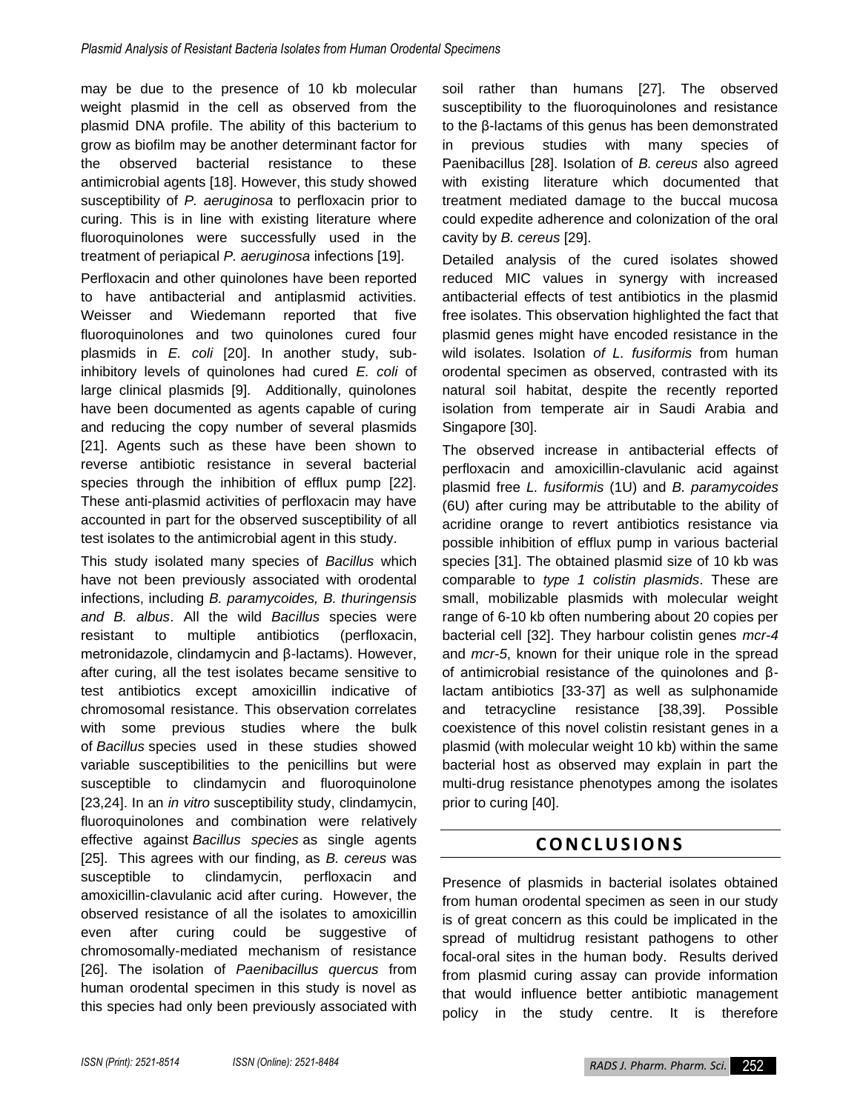may be due to the presence of 10 kb molecular weight plasmid in the cell as observed from the plasmid DNA profile. The ability of this bacterium to grow as biofilm may be another determinant factor for the observed bacterial resistance to these antimicrobial agents [18]. However, this study showed susceptibility of *P. aeruginosa* to perfloxacin prior to curing. This is in line with existing literature where fluoroquinolones were successfully used in the treatment of periapical *P. aeruginosa* infections [19].

Perfloxacin and other quinolones have been reported to have antibacterial and antiplasmid activities. Weisser and Wiedemann reported that five fluoroquinolones and two quinolones cured four plasmids in *E. coli* [20]. In another study, subinhibitory levels of quinolones had cured *E. coli* of large clinical plasmids [9]. Additionally, quinolones have been documented as agents capable of curing and reducing the copy number of several plasmids [21]. Agents such as these have been shown to reverse antibiotic resistance in several bacterial species through the inhibition of efflux pump [22]. These anti-plasmid activities of perfloxacin may have accounted in part for the observed susceptibility of all test isolates to the antimicrobial agent in this study.

This study isolated many species of *Bacillus* which have not been previously associated with orodental infections, including *B. paramycoides, B. thuringensis and B. albus*. All the wild *Bacillus* species were resistant to multiple antibiotics (perfloxacin, metronidazole, clindamycin and β-lactams). However, after curing, all the test isolates became sensitive to test antibiotics except amoxicillin indicative of chromosomal resistance. This observation correlates with some previous studies where the bulk of *Bacillus* species used in these studies showed variable susceptibilities to the penicillins but were susceptible to clindamycin and fluoroquinolone [23,24]. In an *in vitro* susceptibility study, clindamycin, fluoroquinolones and combination were relatively effective against *Bacillus species* as single agents [25]. This agrees with our finding, as *B. cereus* was susceptible to clindamycin, perfloxacin and amoxicillin-clavulanic acid after curing. However, the observed resistance of all the isolates to amoxicillin even after curing could be suggestive of chromosomally-mediated mechanism of resistance [26]. The isolation of *Paenibacillus quercus* from human orodental specimen in this study is novel as this species had only been previously associated with

soil rather than humans [27]. The observed susceptibility to the fluoroquinolones and resistance to the β-lactams of this genus has been demonstrated in previous studies with many species of Paenibacillus [28]. Isolation of *B. cereus* also agreed with existing literature which documented that treatment mediated damage to the buccal mucosa could expedite adherence and colonization of the oral cavity by *B. cereus* [29].

Detailed analysis of the cured isolates showed reduced MIC values in synergy with increased antibacterial effects of test antibiotics in the plasmid free isolates. This observation highlighted the fact that plasmid genes might have encoded resistance in the wild isolates. Isolation *of L. fusiformis* from human orodental specimen as observed, contrasted with its natural soil habitat, despite the recently reported isolation from temperate air in Saudi Arabia and Singapore [30].

The observed increase in antibacterial effects of perfloxacin and amoxicillin-clavulanic acid against plasmid free *L. fusiformis* (1U) and *B. paramycoides* (6U) after curing may be attributable to the ability of acridine orange to revert antibiotics resistance via possible inhibition of efflux pump in various bacterial species [31]. The obtained plasmid size of 10 kb was comparable to *type 1 colistin plasmids*. These are small, mobilizable plasmids with molecular weight range of 6-10 kb often numbering about 20 copies per bacterial cell [32]. They harbour colistin genes *mcr-4* and *mcr-5*, known for their unique role in the spread of antimicrobial resistance of the quinolones and βlactam antibiotics [33-37] as well as sulphonamide and tetracycline resistance [38,39]. Possible coexistence of this novel colistin resistant genes in a plasmid (with molecular weight 10 kb) within the same bacterial host as observed may explain in part the multi-drug resistance phenotypes among the isolates prior to curing [40].

## **C O N C L U S I O N S**

Presence of plasmids in bacterial isolates obtained from human orodental specimen as seen in our study is of great concern as this could be implicated in the spread of multidrug resistant pathogens to other focal-oral sites in the human body. Results derived from plasmid curing assay can provide information that would influence better antibiotic management policy in the study centre. It is therefore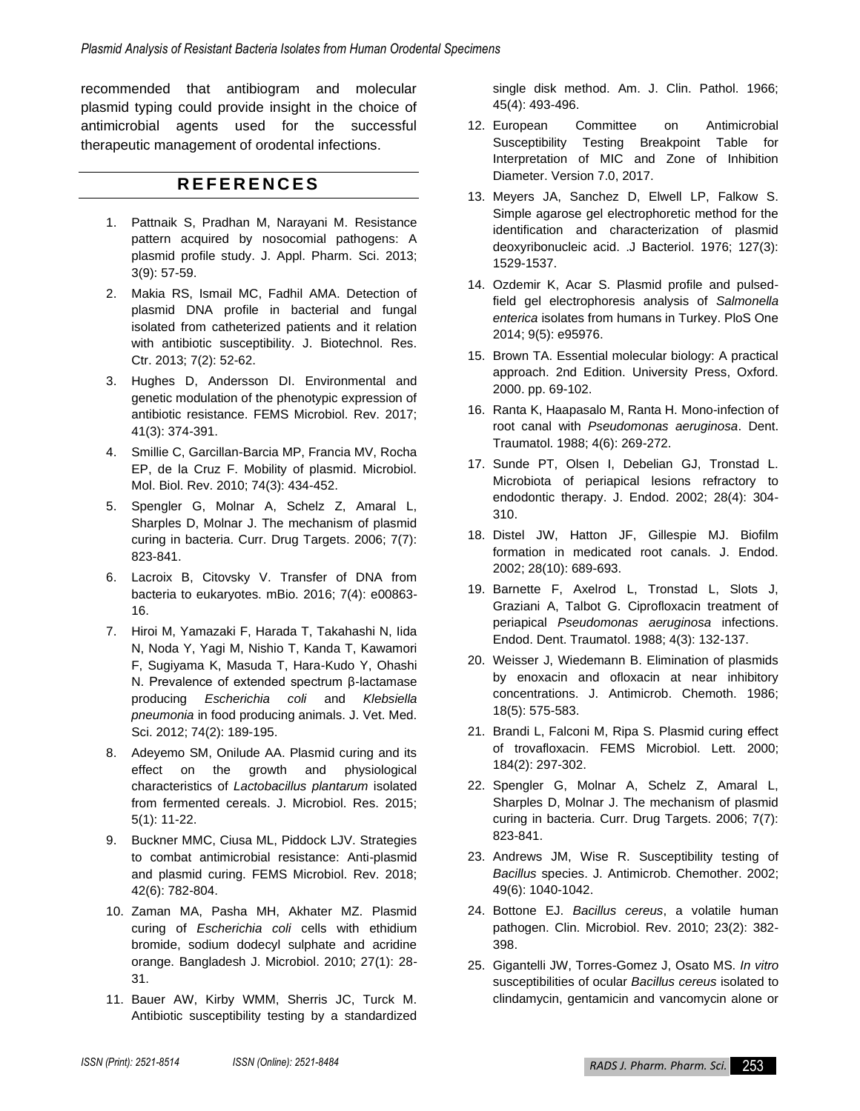recommended that antibiogram and molecular plasmid typing could provide insight in the choice of antimicrobial agents used for the successful therapeutic management of orodental infections.

## **R E F E R E N C E S**

- 1. Pattnaik S, Pradhan M, Narayani M. Resistance pattern acquired by nosocomial pathogens: A plasmid profile study. J. Appl. Pharm. Sci. 2013; 3(9): 57-59.
- 2. Makia RS, Ismail MC, Fadhil AMA. Detection of plasmid DNA profile in bacterial and fungal isolated from catheterized patients and it relation with antibiotic susceptibility. J. Biotechnol. Res. Ctr. 2013; 7(2): 52-62.
- 3. Hughes D, Andersson DI. Environmental and genetic modulation of the phenotypic expression of antibiotic resistance. FEMS Microbiol. Rev. 2017; 41(3): 374-391.
- 4. Smillie C, Garcillan-Barcia MP, Francia MV, Rocha EP, de la Cruz F. Mobility of plasmid. Microbiol. Mol. Biol. Rev. 2010; 74(3): 434-452.
- 5. Spengler G, Molnar A, Schelz Z, Amaral L, Sharples D, Molnar J. The mechanism of plasmid curing in bacteria. Curr. Drug Targets. 2006; 7(7): 823-841.
- 6. Lacroix B, Citovsky V. Transfer of DNA from bacteria to eukaryotes. mBio. 2016; 7(4): e00863- 16.
- 7. Hiroi M, Yamazaki F, Harada T, Takahashi N, Iida N, Noda Y, Yagi M, Nishio T, Kanda T, Kawamori F, Sugiyama K, Masuda T, Hara-Kudo Y, Ohashi N. Prevalence of extended spectrum β-lactamase producing *Escherichia coli* and *Klebsiella pneumonia* in food producing animals. J. Vet. Med. Sci. 2012; 74(2): 189-195.
- 8. Adeyemo SM, Onilude AA. Plasmid curing and its effect on the growth and physiological characteristics of *Lactobacillus plantarum* isolated from fermented cereals. J. Microbiol. Res. 2015; 5(1): 11-22.
- 9. Buckner MMC, Ciusa ML, Piddock LJV. Strategies to combat antimicrobial resistance: Anti-plasmid and plasmid curing. FEMS Microbiol. Rev. 2018; 42(6): 782-804.
- 10. Zaman MA, Pasha MH, Akhater MZ. Plasmid curing of *Escherichia coli* cells with ethidium bromide, sodium dodecyl sulphate and acridine orange. Bangladesh J. Microbiol. 2010; 27(1): 28- 31.
- 11. Bauer AW, Kirby WMM, Sherris JC, Turck M. Antibiotic susceptibility testing by a standardized

single disk method. Am. J. Clin. Pathol. 1966; 45(4): 493-496.

- 12. European Committee on Antimicrobial Susceptibility Testing Breakpoint Table for Interpretation of MIC and Zone of Inhibition Diameter. Version 7.0, 2017.
- 13. Meyers JA, Sanchez D, Elwell LP, Falkow S. Simple agarose gel electrophoretic method for the identification and characterization of plasmid deoxyribonucleic acid. .J Bacteriol. 1976; 127(3): 1529-1537.
- 14. Ozdemir K, Acar S. Plasmid profile and pulsedfield gel electrophoresis analysis of *Salmonella enterica* isolates from humans in Turkey. PloS One 2014; 9(5): e95976.
- 15. Brown TA. Essential molecular biology: A practical approach. 2nd Edition. University Press, Oxford. 2000. pp. 69-102.
- 16. Ranta K, Haapasalo M, Ranta H. Mono-infection of root canal with *Pseudomonas aeruginosa*. Dent. Traumatol. 1988; 4(6): 269-272.
- 17. Sunde PT, Olsen I, Debelian GJ, Tronstad L. Microbiota of periapical lesions refractory to endodontic therapy. J. Endod. 2002; 28(4): 304- 310.
- 18. Distel JW, Hatton JF, Gillespie MJ. Biofilm formation in medicated root canals. J. Endod. 2002; 28(10): 689-693.
- 19. Barnette F, Axelrod L, Tronstad L, Slots J, Graziani A, Talbot G. Ciprofloxacin treatment of periapical *Pseudomonas aeruginosa* infections. Endod. Dent. Traumatol. 1988; 4(3): 132-137.
- 20. Weisser J, Wiedemann B. Elimination of plasmids by enoxacin and ofloxacin at near inhibitory concentrations. J. Antimicrob. Chemoth. 1986; 18(5): 575-583.
- 21. Brandi L, Falconi M, Ripa S. Plasmid curing effect of trovafloxacin. FEMS Microbiol. Lett. 2000; 184(2): 297-302.
- 22. Spengler G, Molnar A, Schelz Z, Amaral L, Sharples D, Molnar J. The mechanism of plasmid curing in bacteria. Curr. Drug Targets. 2006; 7(7): 823-841.
- 23. Andrews JM, Wise R. Susceptibility testing of *Bacillus* species. J. Antimicrob. Chemother. 2002; 49(6): 1040-1042.
- 24. Bottone EJ. *Bacillus cereus*, a volatile human pathogen. Clin. Microbiol. Rev. 2010; 23(2): 382- 398.
- 25. Gigantelli JW, Torres-Gomez J, Osato MS. *In vitro* susceptibilities of ocular *Bacillus cereus* isolated to clindamycin, gentamicin and vancomycin alone or